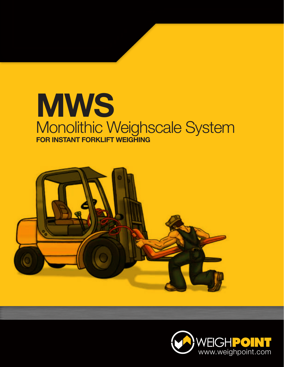## **MWS** Monolithic Weighscale System **FOR INSTANT FORKLIFT WEIGHING**



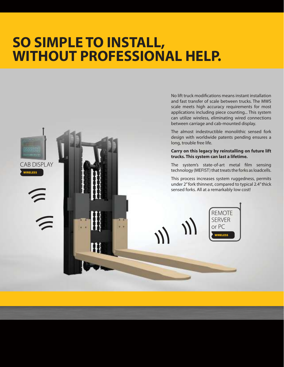## **SO SIMPLE TO INSTALL, WITHOUT PROFESSIONAL HELP.**

WIRELESS CAB DISPLAY

 $\bigcap$ 

No lift truck modifications means instant installation and fast transfer of scale between trucks. The MWS scale meets high accuracy requirements for most applications including piece counting... This system can utilize wireless, eliminating wired connections between carriage and cab-mounted display.

The almost indestructible monolithic sensed fork design with worldwide patents pending ensures a long, trouble free life.

## **Carry on this legacy by reinstalling on future lift trucks. This system can last a lifetime.**

The system's state-of-art metal film sensing technology (MEFIST) that treats the forks as loadcells.

This process increases system ruggedness, permits under 2" fork thinnest, compared to typical 2.4" thick sensed forks. All at a remarkably low cost!

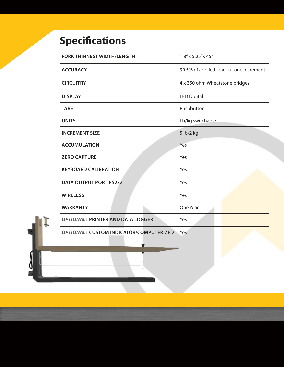## **Specifications**

| <b>FORK THINNEST WIDTH/LENGTH</b>        | 1.8" x 5.25" x 45"                      |  |
|------------------------------------------|-----------------------------------------|--|
| <b>ACCURACY</b>                          | 99.5% of applied load +/- one increment |  |
| <b>CIRCUITRY</b>                         | 4 x 350 ohm Wheatstone bridges          |  |
| <b>DISPLAY</b>                           | <b>LED Digital</b>                      |  |
| <b>TARE</b>                              | Pushbutton                              |  |
| <b>UNITS</b>                             | Lb/kg switchable                        |  |
| <b>INCREMENT SIZE</b>                    | 5 lb/2 kg                               |  |
| <b>ACCUMULATION</b>                      | Yes                                     |  |
| <b>ZERO CAPTURE</b>                      | Yes                                     |  |
| <b>KEYBOARD CALIBRATION</b>              | Yes                                     |  |
| <b>DATA OUTPUT PORT RS232</b>            | Yes                                     |  |
| <b>WIRELESS</b>                          | Yes                                     |  |
| <b>WARRANTY</b>                          | One Year                                |  |
| <b>OPTIONAL: PRINTER AND DATA LOGGER</b> | Yes                                     |  |
| OPTIONAL: CUSTOM INDICATOR/COMPUTERIZED  | Yes                                     |  |
|                                          |                                         |  |